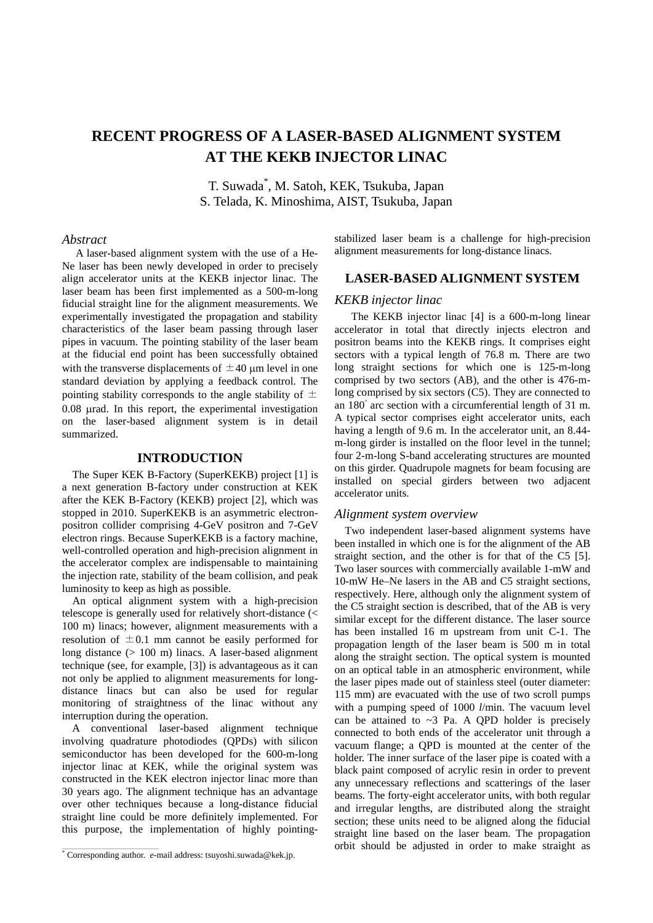# **RECENT PROGRESS OF A LASER-BASED ALIGNMENT SYSTEM AT THE KEKB INJECTOR LINAC**

T. Suwada\* , M. Satoh, KEK*,* Tsukuba, Japan S. Telada, K. Minoshima, AIST, Tsukuba, Japan

#### *Abstract*

A laser-based alignment system with the use of a He-Ne laser has been newly developed in order to precisely align accelerator units at the KEKB injector linac. The laser beam has been first implemented as a 500-m-long fiducial straight line for the alignment measurements. We experimentally investigated the propagation and stability characteristics of the laser beam passing through laser pipes in vacuum. The pointing stability of the laser beam at the fiducial end point has been successfully obtained with the transverse displacements of  $\pm 40$  µm level in one standard deviation by applying a feedback control. The pointing stability corresponds to the angle stability of  $\pm$ 0.08 µrad. In this report, the experimental investigation on the laser-based alignment system is in detail summarized.

#### **INTRODUCTION**

The Super KEK B-Factory (SuperKEKB) project [1] is a next generation B-factory under construction at KEK after the KEK B-Factory (KEKB) project [2], which was stopped in 2010. SuperKEKB is an asymmetric electronpositron collider comprising 4-GeV positron and 7-GeV electron rings. Because SuperKEKB is a factory machine, well-controlled operation and high-precision alignment in the accelerator complex are indispensable to maintaining the injection rate, stability of the beam collision, and peak luminosity to keep as high as possible.

An optical alignment system with a high-precision telescope is generally used for relatively short-distance (< 100 m) linacs; however, alignment measurements with a resolution of  $\pm 0.1$  mm cannot be easily performed for long distance (> 100 m) linacs. A laser-based alignment technique (see, for example, [3]) is advantageous as it can not only be applied to alignment measurements for longdistance linacs but can also be used for regular monitoring of straightness of the linac without any interruption during the operation.

A conventional laser-based alignment technique involving quadrature photodiodes (QPDs) with silicon semiconductor has been developed for the 600-m-long injector linac at KEK, while the original system was constructed in the KEK electron injector linac more than 30 years ago. The alignment technique has an advantage over other techniques because a long-distance fiducial straight line could be more definitely implemented. For this purpose, the implementation of highly pointingstabilized laser beam is a challenge for high-precision alignment measurements for long-distance linacs.

### **LASER-BASED ALIGNMENT SYSTEM**

#### *KEKB injector linac*

 The KEKB injector linac [4] is a 600-m-long linear accelerator in total that directly injects electron and positron beams into the KEKB rings. It comprises eight sectors with a typical length of 76.8 m. There are two long straight sections for which one is 125-m-long comprised by two sectors (AB), and the other is 476-mlong comprised by six sectors (C5). They are connected to an 180◦ arc section with a circumferential length of 31 m. A typical sector comprises eight accelerator units, each having a length of 9.6 m. In the accelerator unit, an 8.44 m-long girder is installed on the floor level in the tunnel; four 2-m-long S-band accelerating structures are mounted on this girder. Quadrupole magnets for beam focusing are installed on special girders between two adjacent accelerator units.

## *Alignment system overview*

Two independent laser-based alignment systems have been installed in which one is for the alignment of the AB straight section, and the other is for that of the C5 [5]. Two laser sources with commercially available 1-mW and 10-mW He–Ne lasers in the AB and C5 straight sections, respectively. Here, although only the alignment system of the C5 straight section is described, that of the AB is very similar except for the different distance. The laser source has been installed 16 m upstream from unit C-1. The propagation length of the laser beam is 500 m in total along the straight section. The optical system is mounted on an optical table in an atmospheric environment, while the laser pipes made out of stainless steel (outer diameter: 115 mm) are evacuated with the use of two scroll pumps with a pumping speed of 1000 *l*/min. The vacuum level can be attained to  $\sim$ 3 Pa. A QPD holder is precisely connected to both ends of the accelerator unit through a vacuum flange; a QPD is mounted at the center of the holder. The inner surface of the laser pipe is coated with a black paint composed of acrylic resin in order to prevent any unnecessary reflections and scatterings of the laser beams. The forty-eight accelerator units, with both regular and irregular lengths, are distributed along the straight section; these units need to be aligned along the fiducial straight line based on the laser beam. The propagation \_\_\_\_\_\_\_\_\_\_\_\_\_\_\_\_\_\_\_\_\_\_\_\_\_\_\_\_\_\_\_\_\_\_\_\_\_\_\_\_\_\_\_ orbit should be adjusted in order to make straight as \* Corresponding author. *e*-mail address: tsuyoshi.suwada@kek.jp.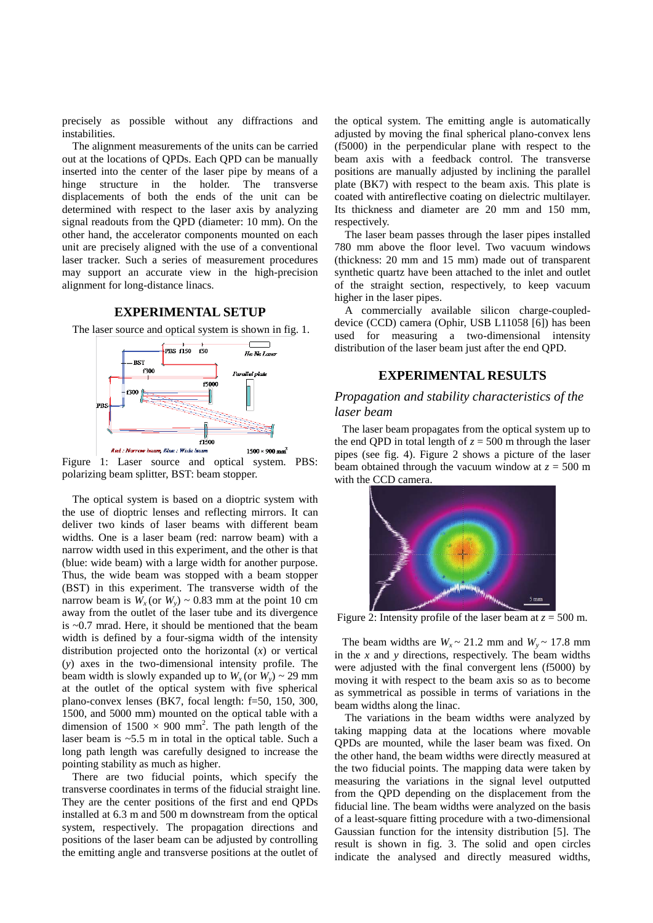precisely as possible without any diffractions and instabilities.

The alignment measurements of the units can be carried out at the locations of QPDs. Each QPD can be manually inserted into the center of the laser pipe by means of a hinge structure in the holder. The transverse displacements of both the ends of the unit can be determined with respect to the laser axis by analyzing signal readouts from the QPD (diameter: 10 mm). On the other hand, the accelerator components mounted on each unit are precisely aligned with the use of a conventional laser tracker. Such a series of measurement procedures may support an accurate view in the high-precision alignment for long-distance linacs.

### **EXPERIMENTAL SETUP**

The laser source and optical system is shown in fig. 1.



Figure 1: Laser source and optical system. PBS: polarizing beam splitter, BST: beam stopper.

The optical system is based on a dioptric system with the use of dioptric lenses and reflecting mirrors. It can deliver two kinds of laser beams with different beam widths. One is a laser beam (red: narrow beam) with a narrow width used in this experiment, and the other is that (blue: wide beam) with a large width for another purpose. Thus, the wide beam was stopped with a beam stopper (BST) in this experiment. The transverse width of the narrow beam is  $W_x$  (or  $W_y$ ) ~ 0.83 mm at the point 10 cm away from the outlet of the laser tube and its divergence is ~0.7 mrad. Here, it should be mentioned that the beam width is defined by a four-sigma width of the intensity distribution projected onto the horizontal (*x*) or vertical (*y*) axes in the two-dimensional intensity profile. The beam width is slowly expanded up to  $W_x$  (or  $W_y$ ) ~ 29 mm at the outlet of the optical system with five spherical plano-convex lenses (BK7, focal length: f=50, 150, 300, 1500, and 5000 mm) mounted on the optical table with a dimension of  $1500 \times 900$  mm<sup>2</sup>. The path length of the laser beam is ~5.5 m in total in the optical table. Such a long path length was carefully designed to increase the pointing stability as much as higher.

There are two fiducial points, which specify the transverse coordinates in terms of the fiducial straight line. They are the center positions of the first and end QPDs installed at 6.3 m and 500 m downstream from the optical system, respectively. The propagation directions and positions of the laser beam can be adjusted by controlling the emitting angle and transverse positions at the outlet of

the optical system. The emitting angle is automatically adjusted by moving the final spherical plano-convex lens (f5000) in the perpendicular plane with respect to the beam axis with a feedback control. The transverse positions are manually adjusted by inclining the parallel plate (BK7) with respect to the beam axis. This plate is coated with antireflective coating on dielectric multilayer. Its thickness and diameter are 20 mm and 150 mm, respectively.

The laser beam passes through the laser pipes installed 780 mm above the floor level. Two vacuum windows (thickness: 20 mm and 15 mm) made out of transparent synthetic quartz have been attached to the inlet and outlet of the straight section, respectively, to keep vacuum higher in the laser pipes.

A commercially available silicon charge-coupleddevice (CCD) camera (Ophir, USB L11058 [6]) has been used for measuring a two-dimensional intensity distribution of the laser beam just after the end QPD.

# **EXPERIMENTAL RESULTS**

# *Propagation and stability characteristics of the laser beam*

The laser beam propagates from the optical system up to the end QPD in total length of  $z = 500$  m through the laser pipes (see fig. 4). Figure 2 shows a picture of the laser beam obtained through the vacuum window at  $z = 500$  m with the CCD camera.



Figure 2: Intensity profile of the laser beam at  $z = 500$  m.

The beam widths are  $W_r \sim 21.2$  mm and  $W_v \sim 17.8$  mm in the *x* and *y* directions, respectively. The beam widths were adjusted with the final convergent lens (f5000) by moving it with respect to the beam axis so as to become as symmetrical as possible in terms of variations in the beam widths along the linac.

The variations in the beam widths were analyzed by taking mapping data at the locations where movable QPDs are mounted, while the laser beam was fixed. On the other hand, the beam widths were directly measured at the two fiducial points. The mapping data were taken by measuring the variations in the signal level outputted from the QPD depending on the displacement from the fiducial line. The beam widths were analyzed on the basis of a least-square fitting procedure with a two-dimensional Gaussian function for the intensity distribution [5]. The result is shown in fig. 3. The solid and open circles indicate the analysed and directly measured widths,